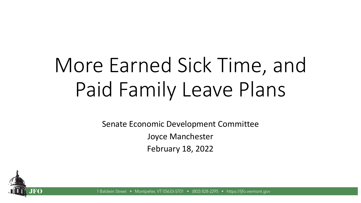# More Earned Sick Time, and Paid Family Leave Plans

Senate Economic Development Committee Joyce Manchester February 18, 2022



1 Baldwin Street Montpelier, VT 05633-5701 • (802) 828-2295 • https://lifo.vermont.gov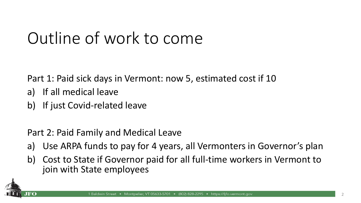# Outline of work to come

Part 1: Paid sick days in Vermont: now 5, estimated cost if 10

- a) If all medical leave
- b) If just Covid-related leave

Part 2: Paid Family and Medical Leave

- a) Use ARPA funds to pay for 4 years, all Vermonters in Governor's plan
- b) Cost to State if Governor paid for all full-time workers in Vermont to join with State employees

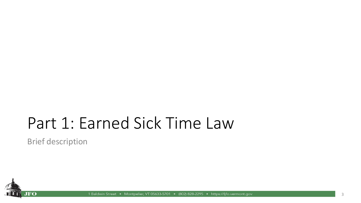## Part 1: Earned Sick Time Law

Brief description



1 Baldwin Street • Montpelier, VT 05633-5701 • (802) 828-2295 • https://lifo.vermont.gov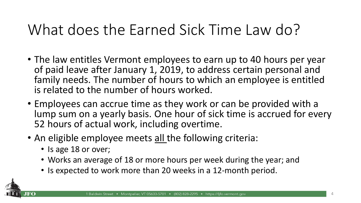#### What does the Earned Sick Time Law do?

- The law entitles Vermont employees to earn up to 40 hours per year of paid leave after January 1, 2019, to address certain personal and family needs. The number of hours to which an employee is entitled is related to the number of hours worked.
- Employees can accrue time as they work or can be provided with a lump sum on a yearly basis. One hour of sick time is accrued for every 52 hours of actual work, including overtime.
- An eligible employee meets all the following criteria:
	- Is age 18 or over;
	- Works an average of 18 or more hours per week during the year; and
	- Is expected to work more than 20 weeks in a 12-month period.

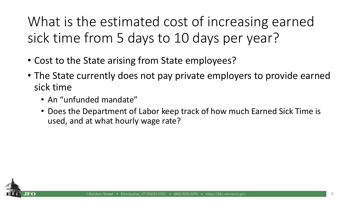What is the estimated cost of increasing earned sick time from 5 days to 10 days per year?

- Cost to the State arising from State employees?
- The State currently does not pay private employers to provide earned sick time
	- An "unfunded mandate"
	- Does the Department of Labor keep track of how much Earned Sick Time is used, and at what hourly wage rate?

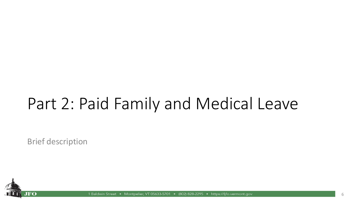# Part 2: Paid Family and Medical Leave

Brief description



1 Baldwin Street Montpelier, VT 05633-5701 • (802) 828-2295 • https://lifo.vermont.gov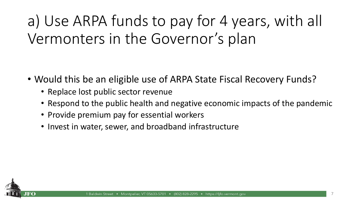a) Use ARPA funds to pay for 4 years, with all Vermonters in the Governor's plan

- Would this be an eligible use of ARPA State Fiscal Recovery Funds?
	- Replace lost public sector revenue
	- Respond to the public health and negative economic impacts of the pandemic
	- Provide premium pay for essential workers
	- Invest in water, sewer, and broadband infrastructure

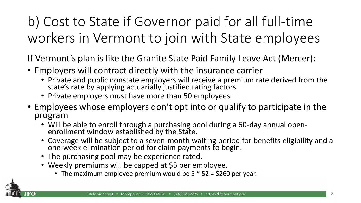b) Cost to State if Governor paid for all full-time workers in Vermont to join with State employees

If Vermont's plan is like the Granite State Paid Family Leave Act (Mercer):

- Employers will contract directly with the insurance carrier
	- Private and public nonstate employers will receive a premium rate derived from the state's rate by applying actuarially justified rating factors
	- Private employers must have more than 50 employees
- Employees whose employers don't opt into or qualify to participate in the program
	- Will be able to enroll through a purchasing pool during a 60-day annual openenrollment window established by the State.
	- Coverage will be subject to a seven-month waiting period for benefits eligibility and a one-week elimination period for claim payments to begin.
	- The purchasing pool may be experience rated.
	- Weekly premiums will be capped at \$5 per employee.
		- The maximum employee premium would be  $5 * 52 = $260$  per year.